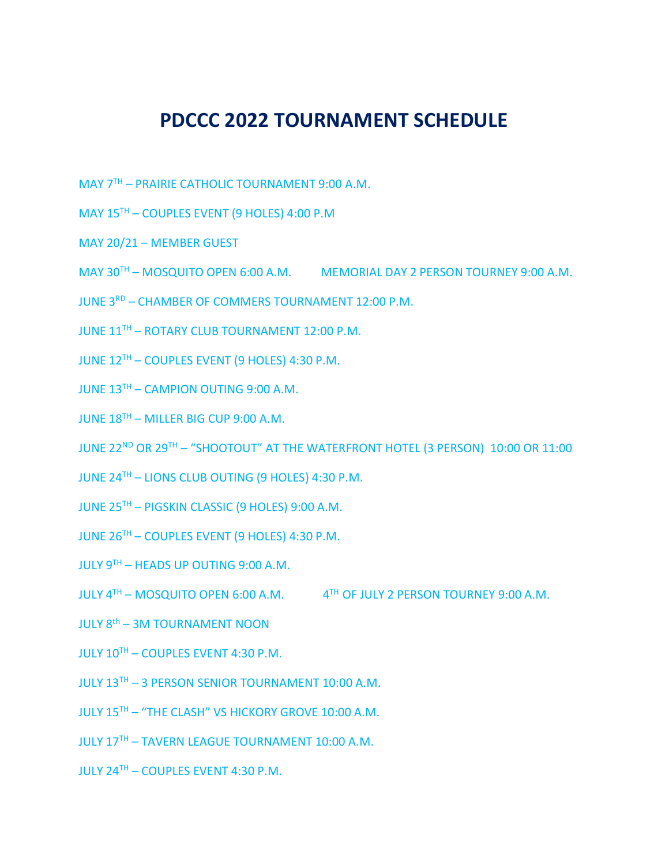## **PDCCC 2022 TOURNAMENT SCHEDULE**

- MAY 7TH PRAIRIE CATHOLIC TOURNAMENT 9:00 A.M.
- MAY 15TH COUPLES EVENT (9 HOLES) 4:00 P.M
- MAY 20/21 MEMBER GUEST
- MAY 30TH MOSQUITO OPEN 6:00 A.M. MEMORIAL DAY 2 PERSON TOURNEY 9:00 A.M.
- JUNE 3RD CHAMBER OF COMMERS TOURNAMENT 12:00 P.M.
- JUNE 11TH ROTARY CLUB TOURNAMENT 12:00 P.M.
- JUNE 12TH COUPLES EVENT (9 HOLES) 4:30 P.M.
- JUNE 13<sup>TH</sup> CAMPION OUTING 9:00 A.M.
- JUNE 18<sup>TH</sup> MILLER BIG CUP 9:00 A.M.
- JUNE 22ND OR 29TH "SHOOTOUT" AT THE WATERFRONT HOTEL (3 PERSON) 10:00 OR 11:00
- JUNE 24TH LIONS CLUB OUTING (9 HOLES) 4:30 P.M.
- JUNE 25TH PIGSKIN CLASSIC (9 HOLES) 9:00 A.M.
- JUNE 26TH COUPLES EVENT (9 HOLES) 4:30 P.M.
- JULY 9TH HEADS UP OUTING 9:00 A.M.
- JULY  $4^{TH}$  MOSQUITO OPEN 6:00 A.M.  $4^{TH}$  OF JULY 2 PERSON TOURNEY 9:00 A.M.
- JULY 8th 3M TOURNAMENT NOON
- JULY 10TH COUPLES EVENT 4:30 P.M.
- JULY 13TH 3 PERSON SENIOR TOURNAMENT 10:00 A.M.
- JULY 15TH "THE CLASH" VS HICKORY GROVE 10:00 A.M.
- JULY 17TH TAVERN LEAGUE TOURNAMENT 10:00 A.M.
- $JULY 24<sup>TH</sup> COUPLES EVENT 4:30 P.M.$